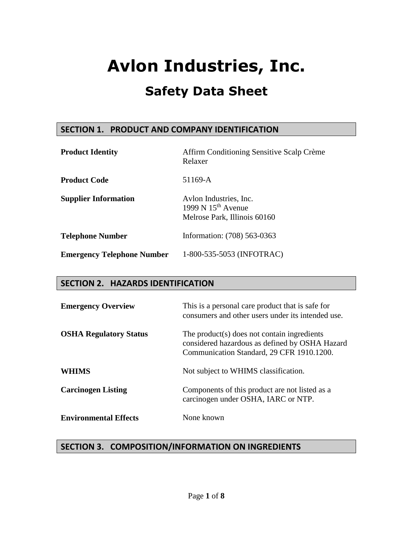### **SECTION 1. PRODUCT AND COMPANY IDENTIFICATION**

| <b>Product Identity</b>           | Affirm Conditioning Sensitive Scalp Crème<br>Relaxer                           |  |  |  |  |
|-----------------------------------|--------------------------------------------------------------------------------|--|--|--|--|
| <b>Product Code</b>               | 51169-A                                                                        |  |  |  |  |
| <b>Supplier Information</b>       | Avlon Industries, Inc.<br>1999 N $15th$ Avenue<br>Melrose Park, Illinois 60160 |  |  |  |  |
| <b>Telephone Number</b>           | Information: (708) 563-0363                                                    |  |  |  |  |
| <b>Emergency Telephone Number</b> | 1-800-535-5053 (INFOTRAC)                                                      |  |  |  |  |

### **SECTION 2. HAZARDS IDENTIFICATION**

| <b>Emergency Overview</b>     | This is a personal care product that is safe for<br>consumers and other users under its intended use.                                      |  |  |  |
|-------------------------------|--------------------------------------------------------------------------------------------------------------------------------------------|--|--|--|
| <b>OSHA Regulatory Status</b> | The product(s) does not contain ingredients<br>considered hazardous as defined by OSHA Hazard<br>Communication Standard, 29 CFR 1910.1200. |  |  |  |
| WHIMS                         | Not subject to WHIMS classification.                                                                                                       |  |  |  |
| <b>Carcinogen Listing</b>     | Components of this product are not listed as a<br>carcinogen under OSHA, IARC or NTP.                                                      |  |  |  |
| <b>Environmental Effects</b>  | None known                                                                                                                                 |  |  |  |

### **SECTION 3. COMPOSITION/INFORMATION ON INGREDIENTS**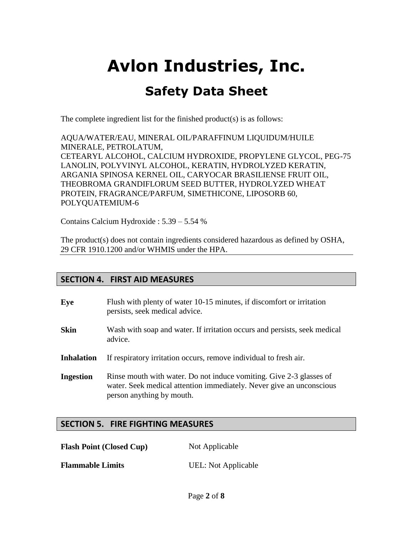The complete ingredient list for the finished product(s) is as follows:

AQUA/WATER/EAU, MINERAL OIL/PARAFFINUM LIQUIDUM/HUILE MINERALE, PETROLATUM, CETEARYL ALCOHOL, CALCIUM HYDROXIDE, PROPYLENE GLYCOL, PEG-75 LANOLIN, POLYVINYL ALCOHOL, KERATIN, HYDROLYZED KERATIN, ARGANIA SPINOSA KERNEL OIL, CARYOCAR BRASILIENSE FRUIT OIL, THEOBROMA GRANDIFLORUM SEED BUTTER, HYDROLYZED WHEAT PROTEIN, FRAGRANCE/PARFUM, SIMETHICONE, LIPOSORB 60, POLYQUATEMIUM-6

Contains Calcium Hydroxide : 5.39 – 5.54 %

The product(s) does not contain ingredients considered hazardous as defined by OSHA, 29 CFR 1910.1200 and/or WHMIS under the HPA.

### **SECTION 4. FIRST AID MEASURES**

| Eye               | Flush with plenty of water 10-15 minutes, if discomfort or irritation<br>persists, seek medical advice.                                                                  |
|-------------------|--------------------------------------------------------------------------------------------------------------------------------------------------------------------------|
| <b>Skin</b>       | Wash with soap and water. If irritation occurs and persists, seek medical<br>advice.                                                                                     |
| <b>Inhalation</b> | If respiratory irritation occurs, remove individual to fresh air.                                                                                                        |
| <b>Ingestion</b>  | Rinse mouth with water. Do not induce vomiting. Give 2-3 glasses of<br>water. Seek medical attention immediately. Never give an unconscious<br>person anything by mouth. |

### **SECTION 5. FIRE FIGHTING MEASURES**

**Flash Point (Closed Cup)** Not Applicable

**Flammable Limits** UEL: Not Applicable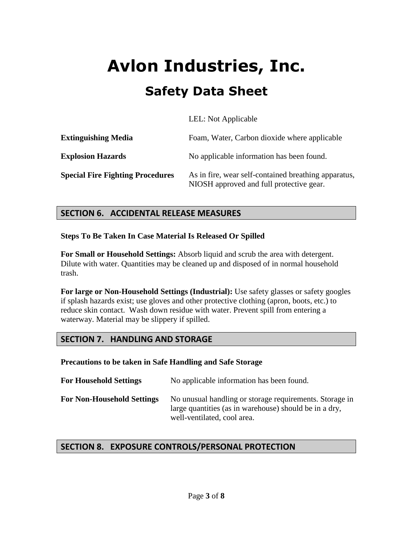|                                         | LEL: Not Applicable                                                                              |
|-----------------------------------------|--------------------------------------------------------------------------------------------------|
| <b>Extinguishing Media</b>              | Foam, Water, Carbon dioxide where applicable                                                     |
| <b>Explosion Hazards</b>                | No applicable information has been found.                                                        |
| <b>Special Fire Fighting Procedures</b> | As in fire, wear self-contained breathing apparatus,<br>NIOSH approved and full protective gear. |

### **SECTION 6. ACCIDENTAL RELEASE MEASURES**

**Steps To Be Taken In Case Material Is Released Or Spilled**

**For Small or Household Settings:** Absorb liquid and scrub the area with detergent. Dilute with water. Quantities may be cleaned up and disposed of in normal household trash.

**For large or Non-Household Settings (Industrial):** Use safety glasses or safety googles if splash hazards exist; use gloves and other protective clothing (apron, boots, etc.) to reduce skin contact. Wash down residue with water. Prevent spill from entering a waterway. Material may be slippery if spilled.

### **SECTION 7. HANDLING AND STORAGE**

**Precautions to be taken in Safe Handling and Safe Storage**

| <b>For Household Settings</b>     | No applicable information has been found.                                                                                                        |
|-----------------------------------|--------------------------------------------------------------------------------------------------------------------------------------------------|
| <b>For Non-Household Settings</b> | No unusual handling or storage requirements. Storage in<br>large quantities (as in warehouse) should be in a dry,<br>well-ventilated, cool area. |

### **SECTION 8. EXPOSURE CONTROLS/PERSONAL PROTECTION**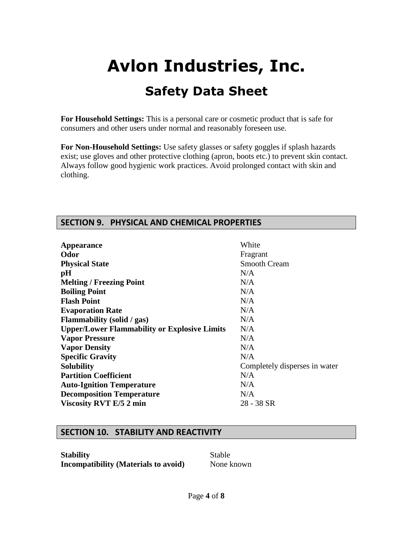**For Household Settings:** This is a personal care or cosmetic product that is safe for consumers and other users under normal and reasonably foreseen use.

**For Non-Household Settings:** Use safety glasses or safety goggles if splash hazards exist; use gloves and other protective clothing (apron, boots etc.) to prevent skin contact. Always follow good hygienic work practices. Avoid prolonged contact with skin and clothing.

### **SECTION 9. PHYSICAL AND CHEMICAL PROPERTIES**

| <b>Appearance</b>                                   | White                         |
|-----------------------------------------------------|-------------------------------|
| Odor                                                | Fragrant                      |
| <b>Physical State</b>                               | <b>Smooth Cream</b>           |
| pH                                                  | N/A                           |
| <b>Melting / Freezing Point</b>                     | N/A                           |
| <b>Boiling Point</b>                                | N/A                           |
| <b>Flash Point</b>                                  | N/A                           |
| <b>Evaporation Rate</b>                             | N/A                           |
| <b>Flammability</b> (solid / gas)                   | N/A                           |
| <b>Upper/Lower Flammability or Explosive Limits</b> | N/A                           |
| <b>Vapor Pressure</b>                               | N/A                           |
| <b>Vapor Density</b>                                | N/A                           |
| <b>Specific Gravity</b>                             | N/A                           |
| <b>Solubility</b>                                   | Completely disperses in water |
| <b>Partition Coefficient</b>                        | N/A                           |
| <b>Auto-Ignition Temperature</b>                    | N/A                           |
| <b>Decomposition Temperature</b>                    | N/A                           |
| <b>Viscosity RVT E/5 2 min</b>                      | 28 - 38 SR                    |
|                                                     |                               |

### **SECTION 10. STABILITY AND REACTIVITY**

**Stability** Stable **Incompatibility (Materials to avoid)** None known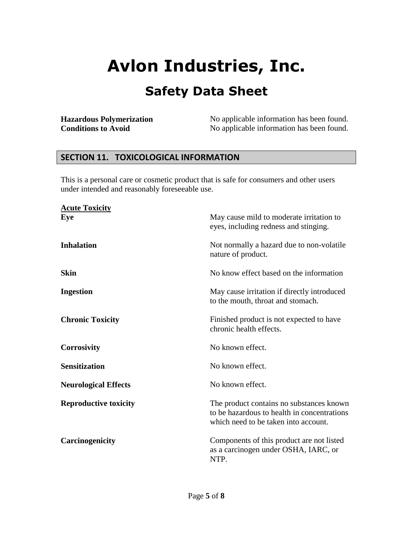# **Avlon Industries, Inc.**

### **Safety Data Sheet**

**Hazardous Polymerization** No applicable information has been found.<br>
No applicable information has been found.<br>
No applicable information has been found. No applicable information has been found.

#### **SECTION 11. TOXICOLOGICAL INFORMATION**

This is a personal care or cosmetic product that is safe for consumers and other users under intended and reasonably foreseeable use.

| <b>Acute Toxicity</b><br>Eye | May cause mild to moderate irritation to<br>eyes, including redness and stinging.                                               |  |  |
|------------------------------|---------------------------------------------------------------------------------------------------------------------------------|--|--|
| <b>Inhalation</b>            | Not normally a hazard due to non-volatile<br>nature of product.                                                                 |  |  |
| <b>Skin</b>                  | No know effect based on the information                                                                                         |  |  |
| <b>Ingestion</b>             | May cause irritation if directly introduced<br>to the mouth, throat and stomach.                                                |  |  |
| <b>Chronic Toxicity</b>      | Finished product is not expected to have<br>chronic health effects.                                                             |  |  |
| <b>Corrosivity</b>           | No known effect.                                                                                                                |  |  |
| <b>Sensitization</b>         | No known effect.                                                                                                                |  |  |
| <b>Neurological Effects</b>  | No known effect.                                                                                                                |  |  |
| <b>Reproductive toxicity</b> | The product contains no substances known<br>to be hazardous to health in concentrations<br>which need to be taken into account. |  |  |
| Carcinogenicity              | Components of this product are not listed<br>as a carcinogen under OSHA, IARC, or<br>NTP.                                       |  |  |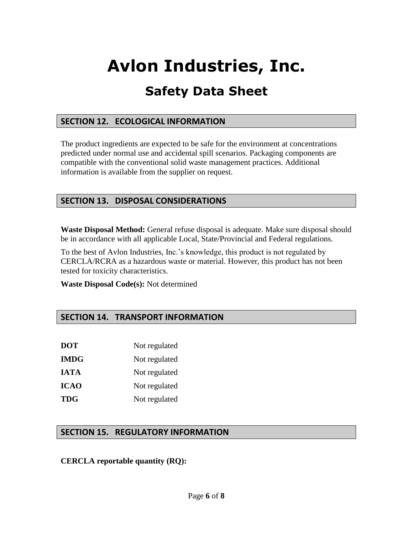# **Avlon Industries, Inc.**

## **Safety Data Sheet**

### **SECTION 12. ECOLOGICAL INFORMATION**

The product ingredients are expected to be safe for the environment at concentrations predicted under normal use and accidental spill scenarios. Packaging components are compatible with the conventional solid waste management practices. Additional information is available from the supplier on request.

### **SECTION 13. DISPOSAL CONSIDERATIONS**

**Waste Disposal Method:** General refuse disposal is adequate. Make sure disposal should be in accordance with all applicable Local, State/Provincial and Federal regulations.

To the best of Avlon Industries, Inc.'s knowledge, this product is not regulated by CERCLA/RCRA as a hazardous waste or material. However, this product has not been tested for toxicity characteristics.

**Waste Disposal Code(s):** Not determined

### **SECTION 14. TRANSPORT INFORMATION**

| DOT  | Not regulated |
|------|---------------|
| IMDG | Not regulated |
| IATA | Not regulated |
| ICAO | Not regulated |
| TDG  | Not regulated |

### **SECTION 15. REGULATORY INFORMATION**

#### **CERCLA reportable quantity (RQ):**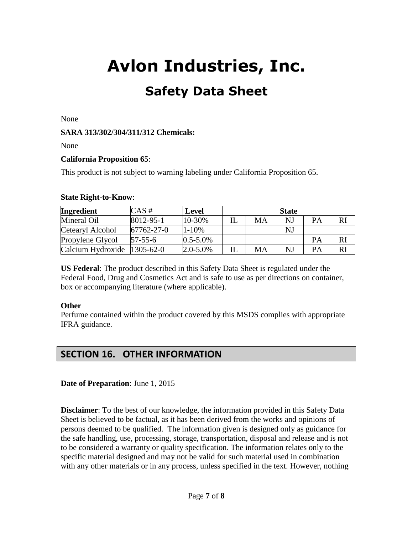None

#### **SARA 313/302/304/311/312 Chemicals:**

None

#### **California Proposition 65**:

This product is not subject to warning labeling under California Proposition 65.

#### **State Right-to-Know**:

| <b>Ingredient</b>           | $CAS \#$        | <b>Level</b>  | <b>State</b> |    |    |           |    |
|-----------------------------|-----------------|---------------|--------------|----|----|-----------|----|
| Mineral Oil                 | $8012 - 95 - 1$ | 10-30%        |              | MA | NJ | <b>PA</b> | RI |
| Cetearyl Alcohol            | 67762-27-0      | $1 - 10%$     |              |    | NJ |           |    |
| Propylene Glycol            | $57 - 55 - 6$   | $0.5 - 5.0\%$ |              |    |    | PA        |    |
| Calcium Hydroxide 1305-62-0 |                 | $2.0 - 5.0\%$ |              | MA | NJ | PA        | RI |

**US Federal**: The product described in this Safety Data Sheet is regulated under the Federal Food, Drug and Cosmetics Act and is safe to use as per directions on container, box or accompanying literature (where applicable).

#### **Other**

Perfume contained within the product covered by this MSDS complies with appropriate IFRA guidance.

### **SECTION 16. OTHER INFORMATION**

#### **Date of Preparation**: June 1, 2015

**Disclaimer**: To the best of our knowledge, the information provided in this Safety Data Sheet is believed to be factual, as it has been derived from the works and opinions of persons deemed to be qualified. The information given is designed only as guidance for the safe handling, use, processing, storage, transportation, disposal and release and is not to be considered a warranty or quality specification. The information relates only to the specific material designed and may not be valid for such material used in combination with any other materials or in any process, unless specified in the text. However, nothing